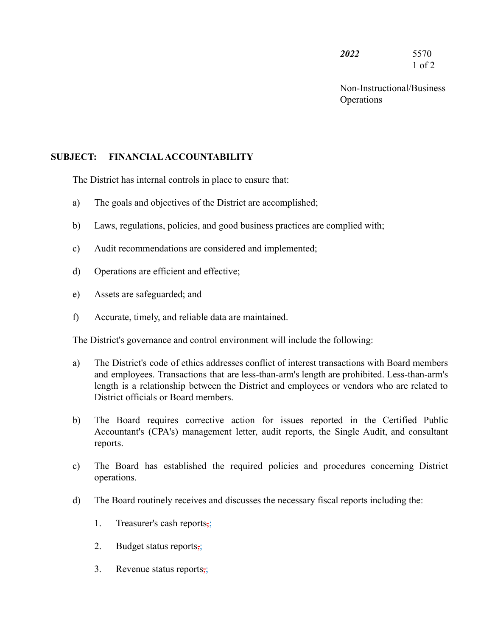*2022* 5570 1 of 2

Non-Instructional/Business **Operations** 

## **SUBJECT: FINANCIALACCOUNTABILITY**

The District has internal controls in place to ensure that:

- a) The goals and objectives of the District are accomplished;
- b) Laws, regulations, policies, and good business practices are complied with;
- c) Audit recommendations are considered and implemented;
- d) Operations are efficient and effective;
- e) Assets are safeguarded; and
- f) Accurate, timely, and reliable data are maintained.

The District's governance and control environment will include the following:

- a) The District's code of ethics addresses conflict of interest transactions with Board members and employees. Transactions that are less-than-arm's length are prohibited. Less-than-arm's length is a relationship between the District and employees or vendors who are related to District officials or Board members.
- b) The Board requires corrective action for issues reported in the Certified Public Accountant's (CPA's) management letter, audit reports, the Single Audit, and consultant reports.
- c) The Board has established the required policies and procedures concerning District operations.
- d) The Board routinely receives and discusses the necessary fiscal reports including the:
	- 1. Treasurer's cash reports,;
	- 2. Budget status reports,;
	- 3. Revenue status reports,;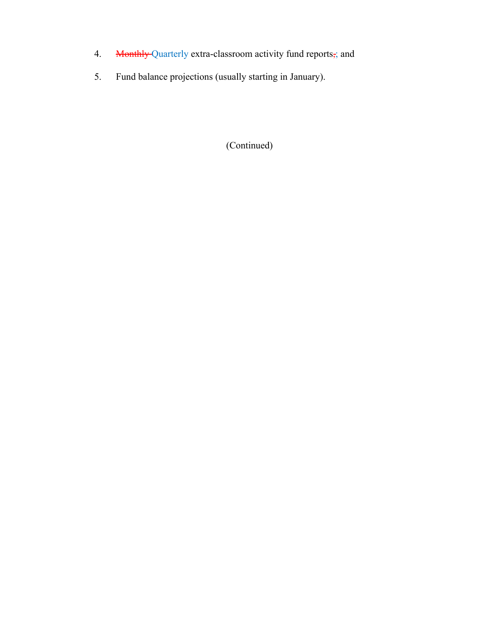- 4. Monthly Quarterly extra-classroom activity fund reports; and
- 5. Fund balance projections (usually starting in January).

## (Continued)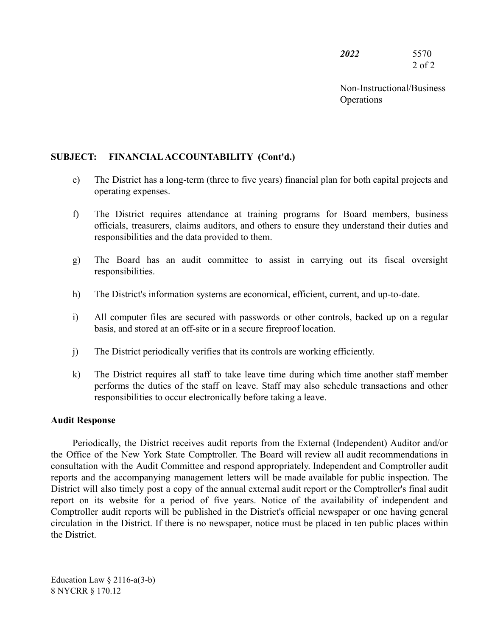| <i><b>2022</b></i> | 5570       |
|--------------------|------------|
|                    | $2$ of $2$ |

Non-Instructional/Business **Operations** 

## **SUBJECT: FINANCIALACCOUNTABILITY (Cont'd.)**

- e) The District has a long-term (three to five years) financial plan for both capital projects and operating expenses.
- f) The District requires attendance at training programs for Board members, business officials, treasurers, claims auditors, and others to ensure they understand their duties and responsibilities and the data provided to them.
- g) The Board has an audit committee to assist in carrying out its fiscal oversight responsibilities.
- h) The District's information systems are economical, efficient, current, and up-to-date.
- i) All computer files are secured with passwords or other controls, backed up on a regular basis, and stored at an off-site or in a secure fireproof location.
- j) The District periodically verifies that its controls are working efficiently.
- k) The District requires all staff to take leave time during which time another staff member performs the duties of the staff on leave. Staff may also schedule transactions and other responsibilities to occur electronically before taking a leave.

## **Audit Response**

Periodically, the District receives audit reports from the External (Independent) Auditor and/or the Office of the New York State Comptroller. The Board will review all audit recommendations in consultation with the Audit Committee and respond appropriately. Independent and Comptroller audit reports and the accompanying management letters will be made available for public inspection. The District will also timely post a copy of the annual external audit report or the Comptroller's final audit report on its website for a period of five years. Notice of the availability of independent and Comptroller audit reports will be published in the District's official newspaper or one having general circulation in the District. If there is no newspaper, notice must be placed in ten public places within the District.

Education Law  $\S$  2116-a(3-b) 8 NYCRR § 170.12